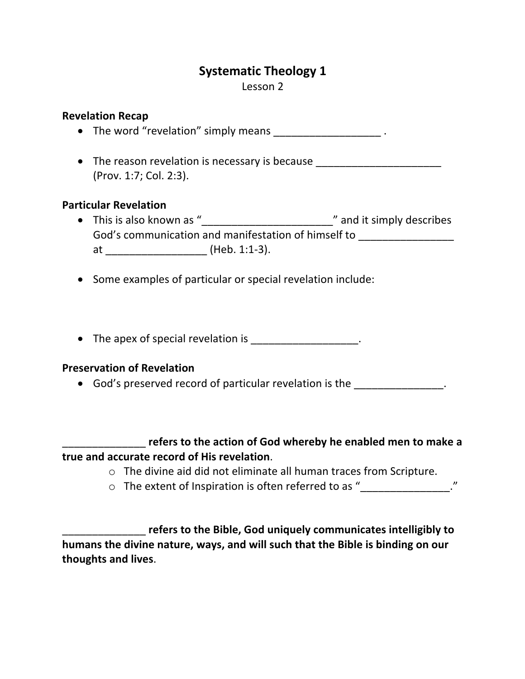# **Systematic Theology 1**

Lesson 2

### **Revelation Recap**

• The word "revelation" simply means  $\bullet$  .

• The reason revelation is necessary is because (Prov. 1:7; Col. 2:3).

## **Particular Revelation**

- This is also known as "\_\_\_\_\_\_\_\_\_\_\_\_\_\_\_\_\_\_\_\_\_\_\_\_\_\_\_\_\_\_" and it simply describes God's communication and manifestation of himself to at \_\_\_\_\_\_\_\_\_\_\_\_\_\_\_\_\_ (Heb. 1:1-3).
- Some examples of particular or special revelation include:
- The apex of special revelation is example 2.

### **Preservation of Revelation**

• God's preserved record of particular revelation is the  $\qquad \qquad$ .

\_\_\_\_\_\_\_\_\_\_\_\_\_\_ **refers to the action of God whereby he enabled men to make a true and accurate record of His revelation**.

- o The divine aid did not eliminate all human traces from Scripture.
- $\circ$  The extent of Inspiration is often referred to as "\_\_\_\_\_\_\_\_\_\_\_\_\_\_\_\_."

\_\_\_\_\_\_\_\_\_\_\_\_\_\_ **refers to the Bible, God uniquely communicates intelligibly to humans the divine nature, ways, and will such that the Bible is binding on our thoughts and lives**.